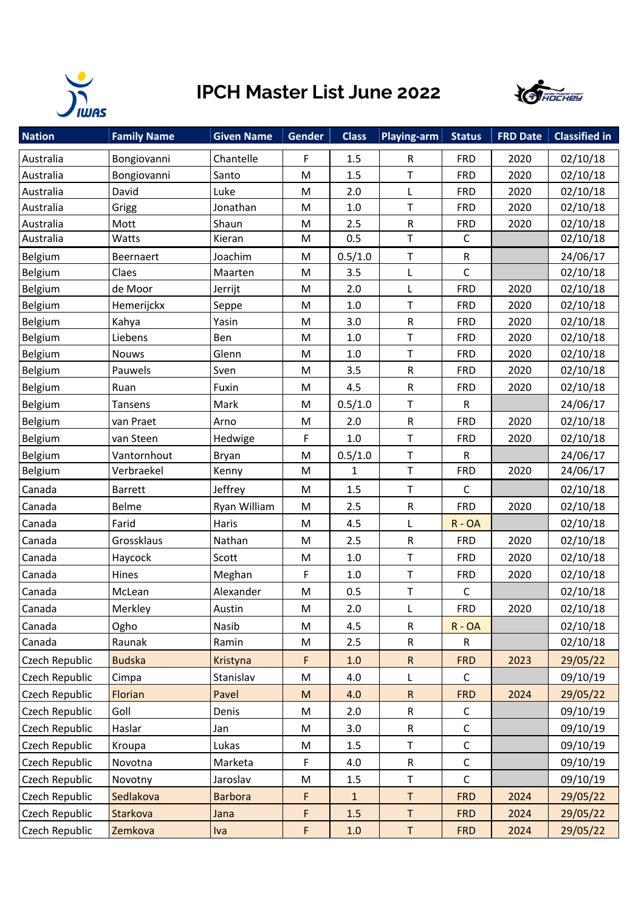

## **IPCH Master List June 2022**



| <b>Nation</b>  | <b>Family Name</b> | <b>Given Name</b> | Gender    | <b>Class</b> | <b>Playing-arm</b> | <b>Status</b> | <b>FRD Date</b> | <b>Classified in</b> |
|----------------|--------------------|-------------------|-----------|--------------|--------------------|---------------|-----------------|----------------------|
| Australia      | Bongiovanni        | Chantelle         | F         | 1.5          | R                  | <b>FRD</b>    | 2020            | 02/10/18             |
| Australia      | Bongiovanni        | Santo             | M         | 1.5          | Т                  | <b>FRD</b>    | 2020            | 02/10/18             |
| Australia      | David              | Luke              | M         | 2.0          | L                  | <b>FRD</b>    | 2020            | 02/10/18             |
| Australia      | Grigg              | Jonathan          | M         | 1.0          | $\top$             | <b>FRD</b>    | 2020            | 02/10/18             |
| Australia      | Mott               | Shaun             | M         | 2.5          | R                  | <b>FRD</b>    | 2020            | 02/10/18             |
| Australia      | Watts              | Kieran            | M         | 0.5          | $\top$             | $\mathsf C$   |                 | 02/10/18             |
| Belgium        | Beernaert          | Joachim           | M         | 0.5/1.0      | $\sf T$            | ${\sf R}$     |                 | 24/06/17             |
| Belgium        | Claes              | Maarten           | M         | 3.5          | L                  | $\mathsf C$   |                 | 02/10/18             |
| Belgium        | de Moor            | Jerrijt           | M         | 2.0          | L                  | <b>FRD</b>    | 2020            | 02/10/18             |
| Belgium        | Hemerijckx         | Seppe             | M         | $1.0\,$      | $\mathsf T$        | <b>FRD</b>    | 2020            | 02/10/18             |
| Belgium        | Kahya              | Yasin             | M         | 3.0          | R                  | <b>FRD</b>    | 2020            | 02/10/18             |
| Belgium        | Liebens            | Ben               | M         | 1.0          | $\top$             | <b>FRD</b>    | 2020            | 02/10/18             |
| Belgium        | <b>Nouws</b>       | Glenn             | M         | $1.0\,$      | T                  | <b>FRD</b>    | 2020            | 02/10/18             |
| Belgium        | Pauwels            | Sven              | M         | 3.5          | R                  | <b>FRD</b>    | 2020            | 02/10/18             |
| Belgium        | Ruan               | Fuxin             | M         | 4.5          | ${\sf R}$          | <b>FRD</b>    | 2020            | 02/10/18             |
| Belgium        | <b>Tansens</b>     | Mark              | M         | 0.5/1.0      | T                  | $\mathsf{R}$  |                 | 24/06/17             |
| Belgium        | van Praet          | Arno              | M         | 2.0          | ${\sf R}$          | <b>FRD</b>    | 2020            | 02/10/18             |
| Belgium        | van Steen          | Hedwige           | F         | $1.0\,$      | T                  | <b>FRD</b>    | 2020            | 02/10/18             |
| Belgium        | Vantornhout        | Bryan             | M         | 0.5/1.0      | $\mathsf T$        | $\mathsf R$   |                 | 24/06/17             |
| Belgium        | Verbraekel         | Kenny             | M         | $\mathbf{1}$ | $\top$             | <b>FRD</b>    | 2020            | 24/06/17             |
| Canada         | Barrett            | Jeffrey           | M         | 1.5          | $\top$             | $\mathsf{C}$  |                 | 02/10/18             |
| Canada         | Belme              | Ryan William      | M         | 2.5          | ${\sf R}$          | <b>FRD</b>    | 2020            | 02/10/18             |
| Canada         | Farid              | Haris             | M         | 4.5          | L                  | $R - OA$      |                 | 02/10/18             |
| Canada         | Grossklaus         | Nathan            | M         | 2.5          | ${\sf R}$          | <b>FRD</b>    | 2020            | 02/10/18             |
| Canada         | Haycock            | Scott             | M         | $1.0\,$      | $\top$             | <b>FRD</b>    | 2020            | 02/10/18             |
| Canada         | Hines              | Meghan            | F         | $1.0\,$      | T                  | <b>FRD</b>    | 2020            | 02/10/18             |
| Canada         | McLean             | Alexander         | M         | 0.5          | $\sf T$            | $\mathsf{C}$  |                 | 02/10/18             |
| Canada         | Merkley            | Austin            | M         | 2.0          | L                  | <b>FRD</b>    | 2020            | 02/10/18             |
| Canada         | Ogho               | Nasib             | M         | 4.5          | ${\sf R}$          | $R - OA$      |                 | 02/10/18             |
| Canada         | Raunak             | Ramin             | M         | 2.5          | $\mathsf R$        | R             |                 | 02/10/18             |
| Czech Republic | <b>Budska</b>      | Kristyna          | F         | 1.0          | ${\sf R}$          | <b>FRD</b>    | 2023            | 29/05/22             |
| Czech Republic | Cimpa              | Stanislav         | M         | 4.0          | L                  | $\mathsf{C}$  |                 | 09/10/19             |
| Czech Republic | Florian            | Pavel             | ${\sf M}$ | 4.0          | ${\sf R}$          | <b>FRD</b>    | 2024            | 29/05/22             |
| Czech Republic | Goll               | Denis             | M         | 2.0          | ${\sf R}$          | $\mathsf C$   |                 | 09/10/19             |
| Czech Republic | Haslar             | Jan               | M         | 3.0          | ${\sf R}$          | $\mathsf C$   |                 | 09/10/19             |
| Czech Republic | Kroupa             | Lukas             | M         | 1.5          | T                  | $\mathsf C$   |                 | 09/10/19             |
| Czech Republic | Novotna            | Marketa           | F         | 4.0          | ${\sf R}$          | $\mathsf C$   |                 | 09/10/19             |
| Czech Republic | Novotny            | Jaroslav          | M         | 1.5          | T                  | $\mathsf{C}$  |                 | 09/10/19             |
| Czech Republic | Sedlakova          | <b>Barbora</b>    | F         | $\mathbf{1}$ | T                  | <b>FRD</b>    | 2024            | 29/05/22             |
| Czech Republic | Starkova           | Jana              | F         | 1.5          | $\sf T$            | <b>FRD</b>    | 2024            | 29/05/22             |
| Czech Republic | Zemkova            | Iva               | F         | $1.0$        | $\sf T$            | <b>FRD</b>    | 2024            | 29/05/22             |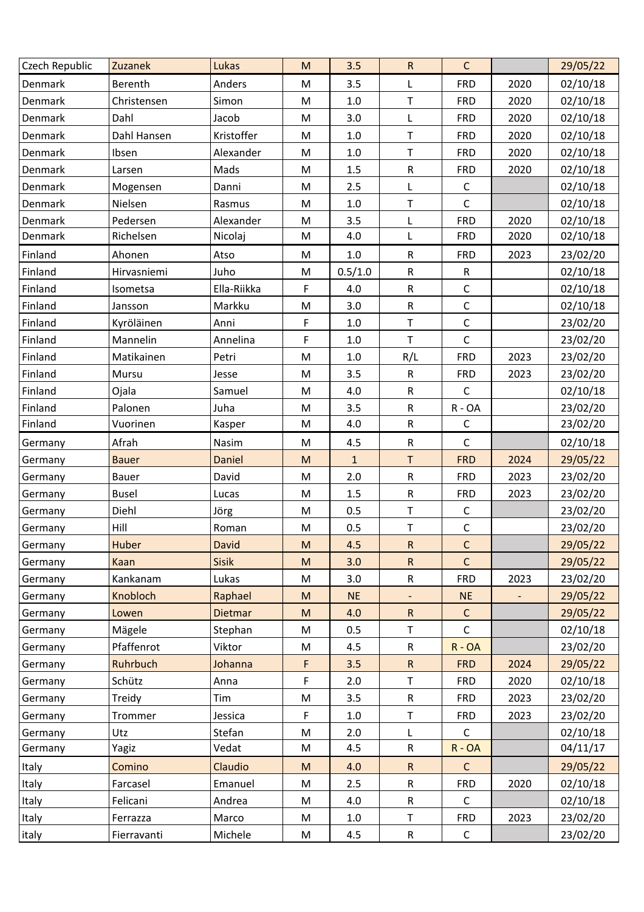| Czech Republic | Zuzanek      | Lukas        | ${\sf M}$                                                                             | 3.5          | ${\sf R}$      | $\mathsf{C}$ |      | 29/05/22 |
|----------------|--------------|--------------|---------------------------------------------------------------------------------------|--------------|----------------|--------------|------|----------|
| Denmark        | Berenth      | Anders       | M                                                                                     | 3.5          | L              | <b>FRD</b>   | 2020 | 02/10/18 |
| Denmark        | Christensen  | Simon        | M                                                                                     | $1.0\,$      | $\top$         | <b>FRD</b>   | 2020 | 02/10/18 |
| Denmark        | Dahl         | Jacob        | M                                                                                     | 3.0          | L              | <b>FRD</b>   | 2020 | 02/10/18 |
| Denmark        | Dahl Hansen  | Kristoffer   | M                                                                                     | $1.0\,$      | $\mathsf T$    | <b>FRD</b>   | 2020 | 02/10/18 |
| Denmark        | Ibsen        | Alexander    | M                                                                                     | $1.0\,$      | Τ              | <b>FRD</b>   | 2020 | 02/10/18 |
| Denmark        | Larsen       | Mads         | M                                                                                     | 1.5          | ${\sf R}$      | <b>FRD</b>   | 2020 | 02/10/18 |
| Denmark        | Mogensen     | Danni        | M                                                                                     | 2.5          | L              | $\mathsf C$  |      | 02/10/18 |
| Denmark        | Nielsen      | Rasmus       | ${\sf M}$                                                                             | 1.0          | $\mathsf T$    | $\mathsf{C}$ |      | 02/10/18 |
| Denmark        | Pedersen     | Alexander    | M                                                                                     | 3.5          | L              | <b>FRD</b>   | 2020 | 02/10/18 |
| Denmark        | Richelsen    | Nicolaj      | M                                                                                     | 4.0          | L              | <b>FRD</b>   | 2020 | 02/10/18 |
| Finland        | Ahonen       | Atso         | M                                                                                     | 1.0          | ${\sf R}$      | <b>FRD</b>   | 2023 | 23/02/20 |
| Finland        | Hirvasniemi  | Juho         | M                                                                                     | 0.5/1.0      | ${\sf R}$      | R            |      | 02/10/18 |
| Finland        | Isometsa     | Ella-Riikka  | F                                                                                     | 4.0          | ${\sf R}$      | $\mathsf C$  |      | 02/10/18 |
| Finland        | Jansson      | Markku       | ${\sf M}$                                                                             | 3.0          | ${\sf R}$      | $\mathsf C$  |      | 02/10/18 |
| Finland        | Kyröläinen   | Anni         | F                                                                                     | 1.0          | Τ              | $\mathsf C$  |      | 23/02/20 |
| Finland        | Mannelin     | Annelina     | F                                                                                     | $1.0\,$      | $\mathsf T$    | $\mathsf{C}$ |      | 23/02/20 |
| Finland        | Matikainen   | Petri        | ${\sf M}$                                                                             | $1.0\,$      | R/L            | <b>FRD</b>   | 2023 | 23/02/20 |
| Finland        | Mursu        | Jesse        | M                                                                                     | 3.5          | ${\sf R}$      | <b>FRD</b>   | 2023 | 23/02/20 |
| Finland        | Ojala        | Samuel       | M                                                                                     | 4.0          | ${\sf R}$      | $\mathsf C$  |      | 02/10/18 |
| Finland        | Palonen      | Juha         | M                                                                                     | 3.5          | $\mathsf R$    | $R - OA$     |      | 23/02/20 |
| Finland        | Vuorinen     | Kasper       | M                                                                                     | 4.0          | ${\sf R}$      | $\mathsf C$  |      | 23/02/20 |
| Germany        | Afrah        | Nasim        | ${\sf M}$                                                                             | 4.5          | ${\sf R}$      | $\mathsf C$  |      | 02/10/18 |
| Germany        | <b>Bauer</b> | Daniel       | $\mathsf{M}% _{T}=\mathsf{M}_{T}\!\left( a,b\right) ,\ \mathsf{M}_{T}=\mathsf{M}_{T}$ | $\mathbf{1}$ | T              | <b>FRD</b>   | 2024 | 29/05/22 |
| Germany        | Bauer        | David        | M                                                                                     | 2.0          | ${\sf R}$      | <b>FRD</b>   | 2023 | 23/02/20 |
| Germany        | <b>Busel</b> | Lucas        | M                                                                                     | 1.5          | ${\sf R}$      | <b>FRD</b>   | 2023 | 23/02/20 |
| Germany        | Diehl        | Jörg         | ${\sf M}$                                                                             | 0.5          | $\top$         | $\mathsf C$  |      | 23/02/20 |
| Germany        | Hill         | Roman        | ${\sf M}$                                                                             | 0.5          | $\sf T$        | $\mathsf C$  |      | 23/02/20 |
| Germany        | Huber        | David        | M                                                                                     | 4.5          | $\mathsf{R}$   | C            |      | 29/05/22 |
| Germany        | Kaan         | <b>Sisik</b> | ${\sf M}$                                                                             | 3.0          | R              | $\mathsf{C}$ |      | 29/05/22 |
| Germany        | Kankanam     | Lukas        | M                                                                                     | 3.0          | ${\sf R}$      | <b>FRD</b>   | 2023 | 23/02/20 |
| Germany        | Knobloch     | Raphael      | ${\sf M}$                                                                             | <b>NE</b>    | $\blacksquare$ | <b>NE</b>    |      | 29/05/22 |
| Germany        | Lowen        | Dietmar      | ${\sf M}$                                                                             | 4.0          | ${\sf R}$      | $\mathsf C$  |      | 29/05/22 |
| Germany        | Mägele       | Stephan      | M                                                                                     | 0.5          | т              | $\mathsf{C}$ |      | 02/10/18 |
| Germany        | Pfaffenrot   | Viktor       | M                                                                                     | 4.5          | $\mathsf R$    | $R - OA$     |      | 23/02/20 |
| Germany        | Ruhrbuch     | Johanna      | F                                                                                     | 3.5          | $\mathsf{R}$   | <b>FRD</b>   | 2024 | 29/05/22 |
| Germany        | Schütz       | Anna         | F                                                                                     | 2.0          | T              | <b>FRD</b>   | 2020 | 02/10/18 |
| Germany        | Treidy       | Tim          | M                                                                                     | 3.5          | $\mathsf R$    | <b>FRD</b>   | 2023 | 23/02/20 |
| Germany        | Trommer      | Jessica      | F                                                                                     | $1.0\,$      | $\mathsf T$    | <b>FRD</b>   | 2023 | 23/02/20 |
| Germany        | Utz          | Stefan       | M                                                                                     | 2.0          | L              | $\mathsf{C}$ |      | 02/10/18 |
| Germany        | Yagiz        | Vedat        | M                                                                                     | 4.5          | ${\sf R}$      | $R - OA$     |      | 04/11/17 |
| Italy          | Comino       | Claudio      | ${\sf M}$                                                                             | 4.0          | $\mathsf R$    | $\mathsf C$  |      | 29/05/22 |
| Italy          | Farcasel     | Emanuel      | M                                                                                     | 2.5          | ${\sf R}$      | <b>FRD</b>   | 2020 | 02/10/18 |
| Italy          | Felicani     | Andrea       | M                                                                                     | 4.0          | $\mathsf R$    | $\mathsf{C}$ |      | 02/10/18 |
| Italy          | Ferrazza     | Marco        | M                                                                                     | 1.0          | $\mathsf T$    | <b>FRD</b>   | 2023 | 23/02/20 |
| italy          | Fierravanti  | Michele      | M                                                                                     | 4.5          | $\mathsf R$    | $\mathsf C$  |      | 23/02/20 |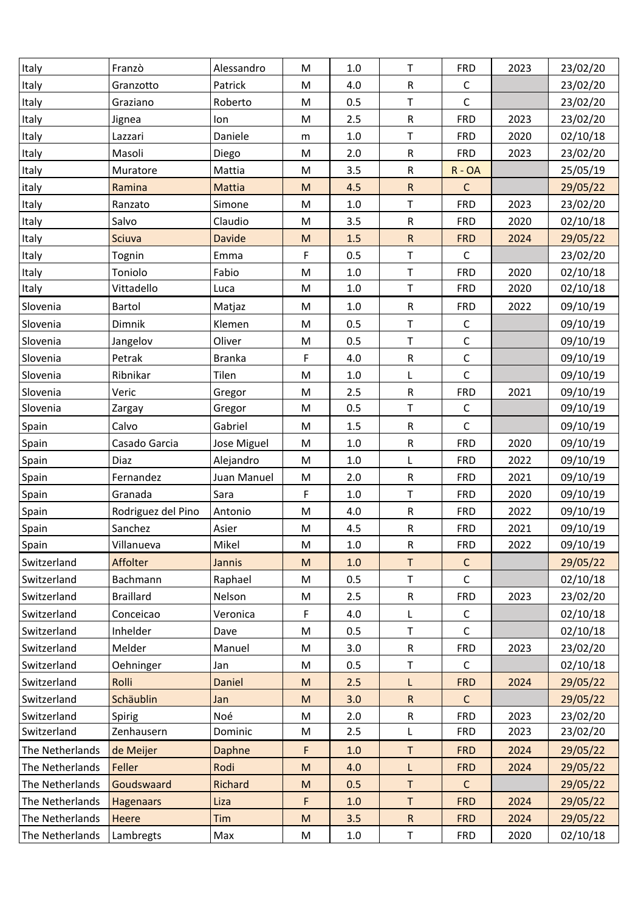| Italy           | Franzò             | Alessandro    | ${\sf M}$                                                                                                  | 1.0     | T           | <b>FRD</b>   | 2023 | 23/02/20 |
|-----------------|--------------------|---------------|------------------------------------------------------------------------------------------------------------|---------|-------------|--------------|------|----------|
| Italy           | Granzotto          | Patrick       | ${\sf M}$                                                                                                  | 4.0     | ${\sf R}$   | $\mathsf C$  |      | 23/02/20 |
| Italy           | Graziano           | Roberto       | M                                                                                                          | 0.5     | T           | $\mathsf C$  |      | 23/02/20 |
| Italy           | Jignea             | lon           | ${\sf M}$                                                                                                  | 2.5     | ${\sf R}$   | <b>FRD</b>   | 2023 | 23/02/20 |
| Italy           | Lazzari            | Daniele       | ${\sf m}$                                                                                                  | $1.0\,$ | T           | <b>FRD</b>   | 2020 | 02/10/18 |
| Italy           | Masoli             | Diego         | ${\sf M}$                                                                                                  | 2.0     | ${\sf R}$   | <b>FRD</b>   | 2023 | 23/02/20 |
| Italy           | Muratore           | Mattia        | ${\sf M}$                                                                                                  | 3.5     | ${\sf R}$   | $R - OA$     |      | 25/05/19 |
| italy           | Ramina             | Mattia        | M                                                                                                          | 4.5     | ${\sf R}$   | $\mathsf C$  |      | 29/05/22 |
| Italy           | Ranzato            | Simone        | M                                                                                                          | $1.0\,$ | T           | <b>FRD</b>   | 2023 | 23/02/20 |
| Italy           | Salvo              | Claudio       | M                                                                                                          | 3.5     | ${\sf R}$   | <b>FRD</b>   | 2020 | 02/10/18 |
| Italy           | Sciuva             | <b>Davide</b> | ${\sf M}$                                                                                                  | 1.5     | ${\sf R}$   | <b>FRD</b>   | 2024 | 29/05/22 |
| Italy           | Tognin             | Emma          | F                                                                                                          | 0.5     | $\mathsf T$ | $\mathsf C$  |      | 23/02/20 |
| Italy           | Toniolo            | Fabio         | M                                                                                                          | $1.0\,$ | Τ           | <b>FRD</b>   | 2020 | 02/10/18 |
| Italy           | Vittadello         | Luca          | ${\sf M}$                                                                                                  | $1.0\,$ | $\mathsf T$ | <b>FRD</b>   | 2020 | 02/10/18 |
| Slovenia        | Bartol             | Matjaz        | M                                                                                                          | $1.0\,$ | ${\sf R}$   | <b>FRD</b>   | 2022 | 09/10/19 |
| Slovenia        | Dimnik             | Klemen        | M                                                                                                          | 0.5     | T           | $\mathsf C$  |      | 09/10/19 |
| Slovenia        | Jangelov           | Oliver        | M                                                                                                          | 0.5     | T           | $\mathsf C$  |      | 09/10/19 |
| Slovenia        | Petrak             | <b>Branka</b> | F                                                                                                          | 4.0     | ${\sf R}$   | $\mathsf C$  |      | 09/10/19 |
| Slovenia        | Ribnikar           | Tilen         | ${\sf M}$                                                                                                  | $1.0\,$ | Г           | $\mathsf C$  |      | 09/10/19 |
| Slovenia        | Veric              | Gregor        | M                                                                                                          | 2.5     | ${\sf R}$   | <b>FRD</b>   | 2021 | 09/10/19 |
| Slovenia        | Zargay             | Gregor        | M                                                                                                          | 0.5     | T           | $\mathsf{C}$ |      | 09/10/19 |
| Spain           | Calvo              | Gabriel       | M                                                                                                          | 1.5     | ${\sf R}$   | $\mathsf C$  |      | 09/10/19 |
| Spain           | Casado Garcia      | Jose Miguel   | M                                                                                                          | $1.0\,$ | ${\sf R}$   | <b>FRD</b>   | 2020 | 09/10/19 |
| Spain           | Diaz               | Alejandro     | $\mathsf{M}% _{T}=\mathsf{M}_{T}\!\left( a,b\right) ,\ \mathsf{M}_{T}=\mathsf{M}_{T}$                      | $1.0\,$ | L           | <b>FRD</b>   | 2022 | 09/10/19 |
| Spain           | Fernandez          | Juan Manuel   | M                                                                                                          | 2.0     | ${\sf R}$   | <b>FRD</b>   | 2021 | 09/10/19 |
| Spain           | Granada            | Sara          | F                                                                                                          | $1.0\,$ | T           | <b>FRD</b>   | 2020 | 09/10/19 |
| Spain           | Rodriguez del Pino | Antonio       | ${\sf M}$                                                                                                  | 4.0     | ${\sf R}$   | <b>FRD</b>   | 2022 | 09/10/19 |
| Spain           | Sanchez            | Asier         | ${\sf M}$                                                                                                  | 4.5     | ${\sf R}$   | <b>FRD</b>   | 2021 | 09/10/19 |
| Spain           | Villanueva         | Mikel         | M                                                                                                          | 1.0     | R           | <b>FRD</b>   | 2022 | 09/10/19 |
| Switzerland     | Affolter           | <b>Jannis</b> | $\mathsf{M}% _{T}=\mathsf{M}_{T}\!\left( a,b\right) ,\ \mathsf{M}_{T}=\mathsf{M}_{T}\!\left( a,b\right) ,$ | $1.0\,$ | $\sf T$     | $\mathsf C$  |      | 29/05/22 |
| Switzerland     | Bachmann           | Raphael       | M                                                                                                          | 0.5     | Τ           | $\mathsf C$  |      | 02/10/18 |
| Switzerland     | <b>Braillard</b>   | Nelson        | M                                                                                                          | 2.5     | ${\sf R}$   | <b>FRD</b>   | 2023 | 23/02/20 |
| Switzerland     | Conceicao          | Veronica      | F                                                                                                          | 4.0     | L           | $\mathsf C$  |      | 02/10/18 |
| Switzerland     | Inhelder           | Dave          | M                                                                                                          | 0.5     | T           | $\mathsf C$  |      | 02/10/18 |
| Switzerland     | Melder             | Manuel        | M                                                                                                          | 3.0     | ${\sf R}$   | <b>FRD</b>   | 2023 | 23/02/20 |
| Switzerland     | Oehninger          | Jan           | M                                                                                                          | 0.5     | T           | $\mathsf C$  |      | 02/10/18 |
| Switzerland     | Rolli              | Daniel        | M                                                                                                          | 2.5     | L           | <b>FRD</b>   | 2024 | 29/05/22 |
| Switzerland     | Schäublin          | Jan           | M                                                                                                          | 3.0     | ${\sf R}$   | $\mathsf{C}$ |      | 29/05/22 |
| Switzerland     | Spirig             | Noé           | M                                                                                                          | 2.0     | ${\sf R}$   | <b>FRD</b>   | 2023 | 23/02/20 |
| Switzerland     | Zenhausern         | Dominic       | M                                                                                                          | 2.5     | L           | <b>FRD</b>   | 2023 | 23/02/20 |
| The Netherlands | de Meijer          | <b>Daphne</b> | F                                                                                                          | 1.0     | Τ           | <b>FRD</b>   | 2024 | 29/05/22 |
| The Netherlands | Feller             | Rodi          | $\mathsf{M}% _{T}=\mathsf{M}_{T}\!\left( a,b\right) ,\ \mathsf{M}_{T}=\mathsf{M}_{T}\!\left( a,b\right) ,$ | 4.0     | L           | <b>FRD</b>   | 2024 | 29/05/22 |
| The Netherlands | Goudswaard         | Richard       | ${\sf M}$                                                                                                  | 0.5     | Τ           | $\mathsf{C}$ |      | 29/05/22 |
| The Netherlands | <b>Hagenaars</b>   | Liza          | F                                                                                                          | $1.0$   | $\sf T$     | <b>FRD</b>   | 2024 | 29/05/22 |
| The Netherlands | Heere              | Tim           | M                                                                                                          | 3.5     | ${\sf R}$   | <b>FRD</b>   | 2024 | 29/05/22 |
| The Netherlands | Lambregts          | Max           | M                                                                                                          | $1.0\,$ | Τ           | <b>FRD</b>   | 2020 | 02/10/18 |